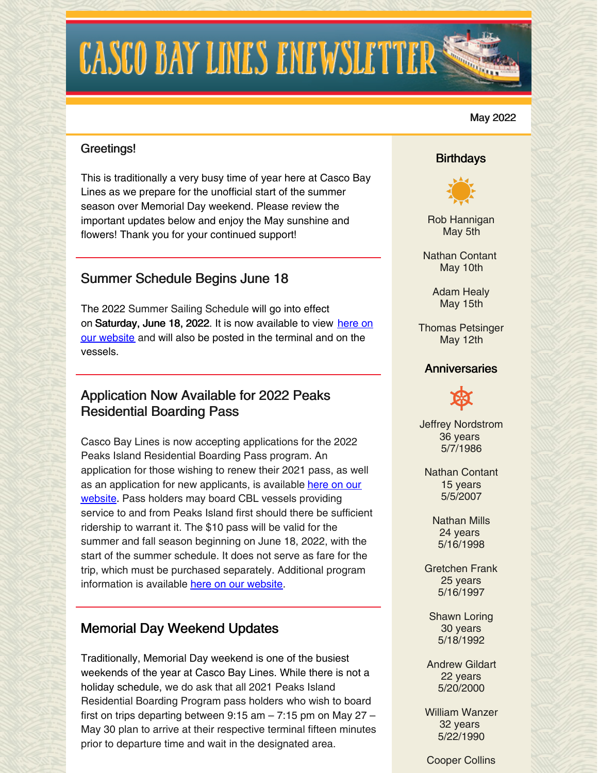# **CASCO BAY LINES ENEWSLETTER:**

#### May 2022

#### Greetings!

This is traditionally a very busy time of year here at Casco Bay Lines as we prepare for the unofficial start of the summer season over Memorial Day weekend. Please review the important updates below and enjoy the May sunshine and flowers! Thank you for your continued support!

# Summer Schedule Begins June 18

The 2022 Summer Sailing Schedule will go into effect on [Saturday,](https://www.cascobaylines.com/schedules/) June 18, 2022. It is now available to view here on our website and will also be posted in the terminal and on the vessels.

### Application Now Available for 2022 Peaks Residential Boarding Pass

Casco Bay Lines is now accepting applications for the 2022 Peaks Island Residential Boarding Pass program. An application for those wishing to renew their 2021 pass, as well as an application for new [applicants,](https://www.cascobaylines.com/portland-ferry-rates/peaks-island-residential-boarding-pass/) is available here on our website. Pass holders may board CBL vessels providing service to and from Peaks Island first should there be sufficient ridership to warrant it. The \$10 pass will be valid for the summer and fall season beginning on June 18, 2022, with the start of the summer schedule. It does not serve as fare for the trip, which must be purchased separately. Additional program information is available here on our [website](https://www.cascobaylines.com/portland-ferry-rates/peaks-island-residential-boarding-pass/).

## Memorial Day Weekend Updates

Traditionally, Memorial Day weekend is one of the busiest weekends of the year at Casco Bay Lines. While there is not a holiday schedule, we do ask that all 2021 Peaks Island Residential Boarding Program pass holders who wish to board first on trips departing between 9:15 am – 7:15 pm on May 27 – May 30 plan to arrive at their respective terminal fifteen minutes prior to departure time and wait in the designated area.

#### **Birthdays**



Rob Hannigan May 5th

Nathan Contant May 10th

> Adam Healy May 15th

Thomas Petsinger May 12th

#### **Anniversaries**

Jeffrey Nordstrom 36 years 5/7/1986

Nathan Contant 15 years 5/5/2007

> Nathan Mills 24 years 5/16/1998

Gretchen Frank 25 years 5/16/1997

Shawn Loring 30 years 5/18/1992

Andrew Gildart 22 years 5/20/2000

William Wanzer 32 years 5/22/1990

Cooper Collins